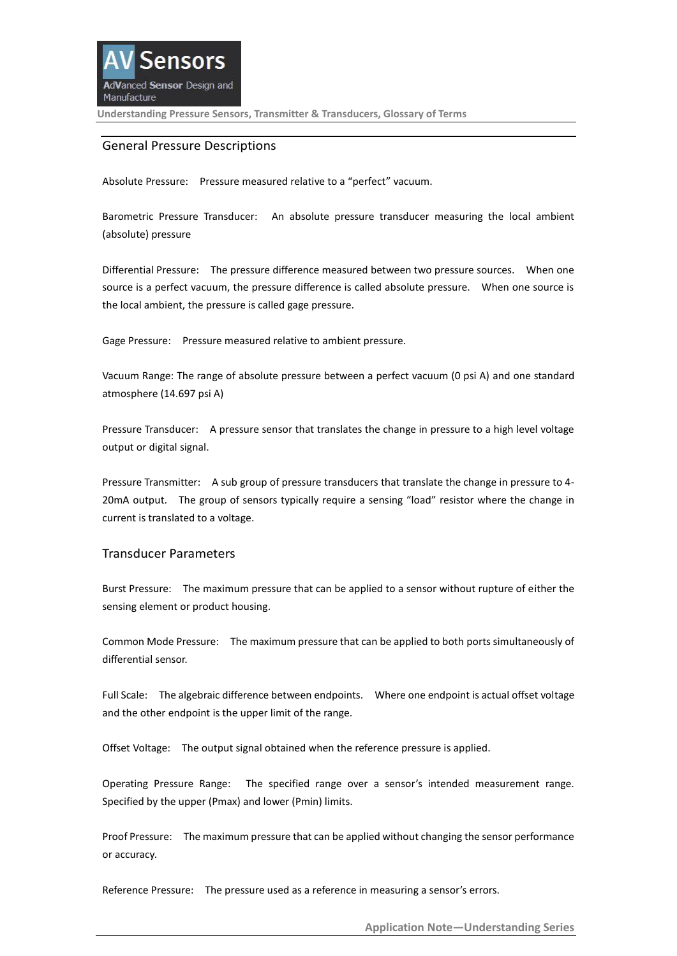### General Pressure Descriptions

Absolute Pressure: Pressure measured relative to a "perfect" vacuum.

Barometric Pressure Transducer: An absolute pressure transducer measuring the local ambient (absolute) pressure

Differential Pressure: The pressure difference measured between two pressure sources. When one source is a perfect vacuum, the pressure difference is called absolute pressure. When one source is the local ambient, the pressure is called gage pressure.

Gage Pressure: Pressure measured relative to ambient pressure.

Vacuum Range: The range of absolute pressure between a perfect vacuum (0 psi A) and one standard atmosphere (14.697 psi A)

Pressure Transducer: A pressure sensor that translates the change in pressure to a high level voltage output or digital signal.

Pressure Transmitter: A sub group of pressure transducers that translate the change in pressure to 4- 20mA output. The group of sensors typically require a sensing "load" resistor where the change in current is translated to a voltage.

### Transducer Parameters

Burst Pressure: The maximum pressure that can be applied to a sensor without rupture of either the sensing element or product housing.

Common Mode Pressure: The maximum pressure that can be applied to both ports simultaneously of differential sensor.

Full Scale: The algebraic difference between endpoints. Where one endpoint is actual offset voltage and the other endpoint is the upper limit of the range.

Offset Voltage: The output signal obtained when the reference pressure is applied.

Operating Pressure Range: The specified range over a sensor's intended measurement range. Specified by the upper (Pmax) and lower (Pmin) limits.

Proof Pressure: The maximum pressure that can be applied without changing the sensor performance or accuracy.

Reference Pressure: The pressure used as a reference in measuring a sensor's errors.

**Application Note—Understanding Series**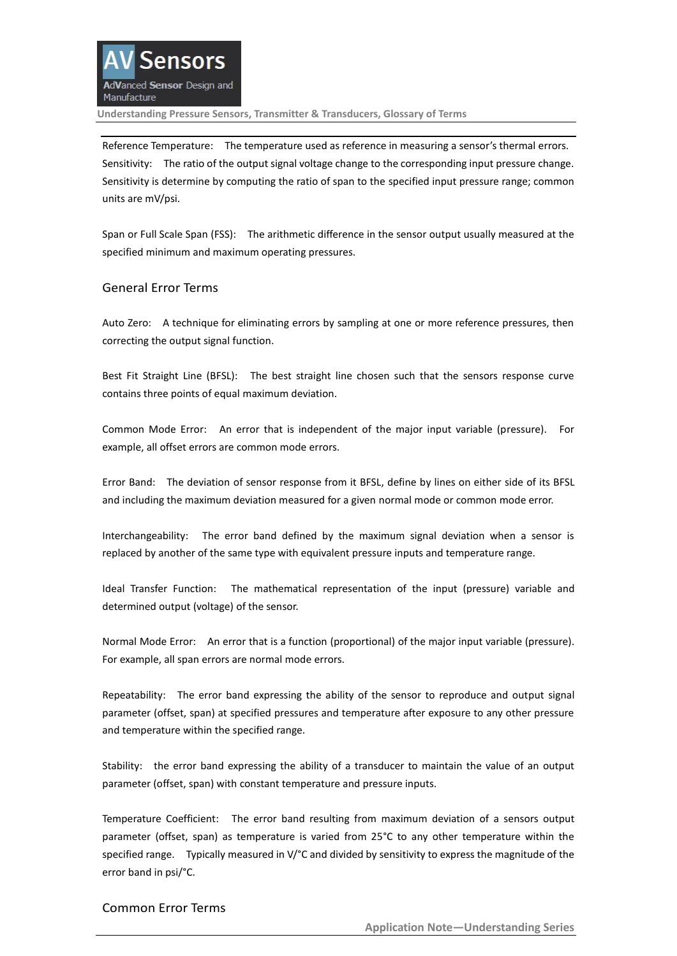

Reference Temperature: The temperature used as reference in measuring a sensor's thermal errors. Sensitivity: The ratio of the output signal voltage change to the corresponding input pressure change. Sensitivity is determine by computing the ratio of span to the specified input pressure range; common units are mV/psi.

Span or Full Scale Span (FSS): The arithmetic difference in the sensor output usually measured at the specified minimum and maximum operating pressures.

### General Error Terms

Auto Zero: A technique for eliminating errors by sampling at one or more reference pressures, then correcting the output signal function.

Best Fit Straight Line (BFSL): The best straight line chosen such that the sensors response curve contains three points of equal maximum deviation.

Common Mode Error: An error that is independent of the major input variable (pressure). For example, all offset errors are common mode errors.

Error Band: The deviation of sensor response from it BFSL, define by lines on either side of its BFSL and including the maximum deviation measured for a given normal mode or common mode error.

Interchangeability: The error band defined by the maximum signal deviation when a sensor is replaced by another of the same type with equivalent pressure inputs and temperature range.

Ideal Transfer Function: The mathematical representation of the input (pressure) variable and determined output (voltage) of the sensor.

Normal Mode Error: An error that is a function (proportional) of the major input variable (pressure). For example, all span errors are normal mode errors.

Repeatability: The error band expressing the ability of the sensor to reproduce and output signal parameter (offset, span) at specified pressures and temperature after exposure to any other pressure and temperature within the specified range.

Stability: the error band expressing the ability of a transducer to maintain the value of an output parameter (offset, span) with constant temperature and pressure inputs.

Temperature Coefficient: The error band resulting from maximum deviation of a sensors output parameter (offset, span) as temperature is varied from 25°C to any other temperature within the specified range. Typically measured in V/°C and divided by sensitivity to express the magnitude of the error band in psi/°C.

# Common Error Terms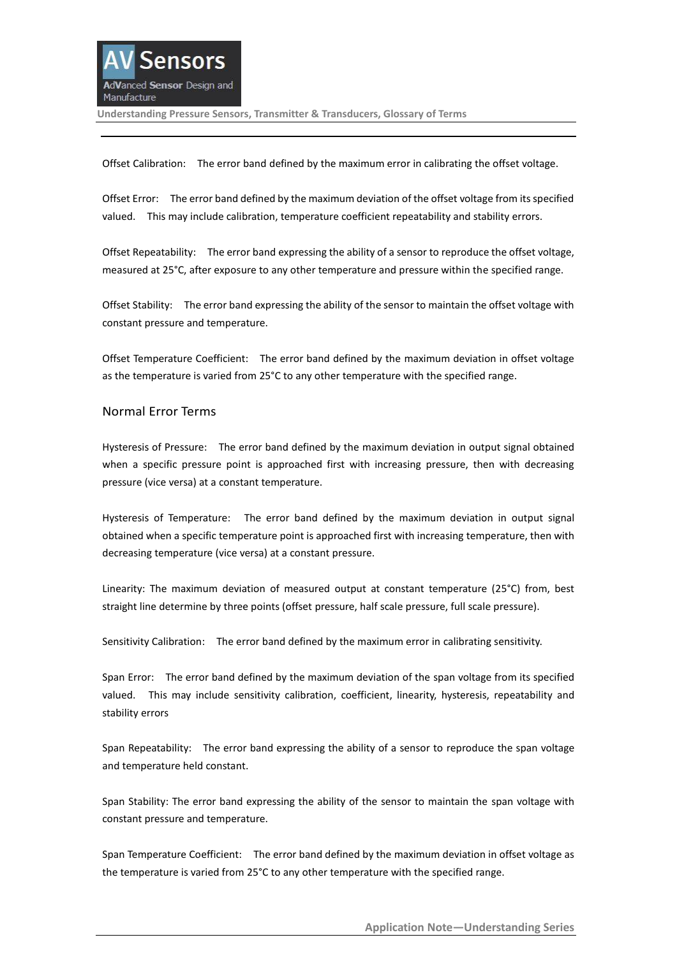Offset Calibration: The error band defined by the maximum error in calibrating the offset voltage.

Offset Error: The error band defined by the maximum deviation of the offset voltage from its specified valued. This may include calibration, temperature coefficient repeatability and stability errors.

Offset Repeatability: The error band expressing the ability of a sensor to reproduce the offset voltage, measured at 25°C, after exposure to any other temperature and pressure within the specified range.

Offset Stability: The error band expressing the ability of the sensor to maintain the offset voltage with constant pressure and temperature.

Offset Temperature Coefficient: The error band defined by the maximum deviation in offset voltage as the temperature is varied from 25°C to any other temperature with the specified range.

### Normal Error Terms

Hysteresis of Pressure: The error band defined by the maximum deviation in output signal obtained when a specific pressure point is approached first with increasing pressure, then with decreasing pressure (vice versa) at a constant temperature.

Hysteresis of Temperature: The error band defined by the maximum deviation in output signal obtained when a specific temperature point is approached first with increasing temperature, then with decreasing temperature (vice versa) at a constant pressure.

Linearity: The maximum deviation of measured output at constant temperature (25°C) from, best straight line determine by three points (offset pressure, half scale pressure, full scale pressure).

Sensitivity Calibration: The error band defined by the maximum error in calibrating sensitivity.

Span Error: The error band defined by the maximum deviation of the span voltage from its specified valued. This may include sensitivity calibration, coefficient, linearity, hysteresis, repeatability and stability errors

Span Repeatability: The error band expressing the ability of a sensor to reproduce the span voltage and temperature held constant.

Span Stability: The error band expressing the ability of the sensor to maintain the span voltage with constant pressure and temperature.

Span Temperature Coefficient: The error band defined by the maximum deviation in offset voltage as the temperature is varied from 25°C to any other temperature with the specified range.